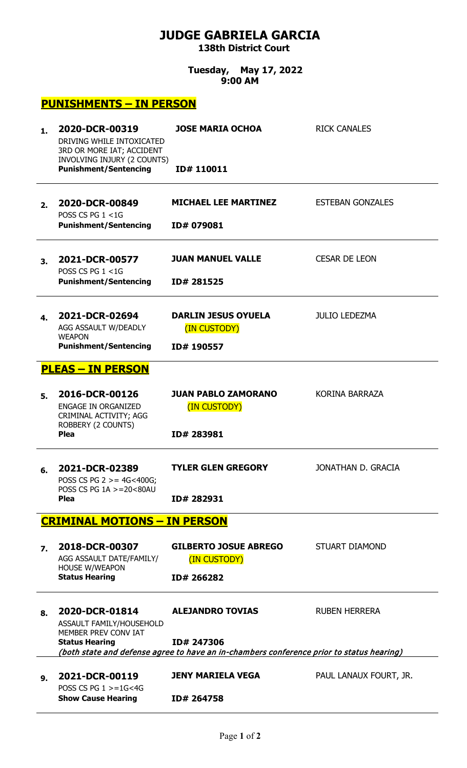## **JUDGE GABRIELA GARCIA 138th District Court**

**Tuesday, May 17, 2022 9:00 AM**

## **PUNISHMENTS – IN PERSON**

| $\mathbf 1$ .                       | 2020-DCR-00319<br>DRIVING WHILE INTOXICATED<br>3RD OR MORE IAT; ACCIDENT<br>INVOLVING INJURY (2 COUNTS) | <b>JOSE MARIA OCHOA</b>                                                                                | <b>RICK CANALES</b>     |  |  |
|-------------------------------------|---------------------------------------------------------------------------------------------------------|--------------------------------------------------------------------------------------------------------|-------------------------|--|--|
|                                     | <b>Punishment/Sentencing</b>                                                                            | ID#110011                                                                                              |                         |  |  |
| 2.                                  | 2020-DCR-00849<br>POSS CS PG $1 < 1$ G                                                                  | <b>MICHAEL LEE MARTINEZ</b>                                                                            | <b>ESTEBAN GONZALES</b> |  |  |
|                                     | <b>Punishment/Sentencing</b>                                                                            | ID# 079081                                                                                             |                         |  |  |
| 3.                                  | 2021-DCR-00577<br>POSS CS PG $1 < 1$ G                                                                  | <b>JUAN MANUEL VALLE</b>                                                                               | <b>CESAR DE LEON</b>    |  |  |
|                                     | <b>Punishment/Sentencing</b>                                                                            | ID# 281525                                                                                             |                         |  |  |
| 4.                                  | 2021-DCR-02694<br>AGG ASSAULT W/DEADLY<br><b>WEAPON</b>                                                 | <b>DARLIN JESUS OYUELA</b><br>(IN CUSTODY)                                                             | <b>JULIO LEDEZMA</b>    |  |  |
|                                     | <b>Punishment/Sentencing</b>                                                                            | ID# 190557                                                                                             |                         |  |  |
| <b>PLEAS - IN PERSON</b>            |                                                                                                         |                                                                                                        |                         |  |  |
| 5.                                  | 2016-DCR-00126<br><b>ENGAGE IN ORGANIZED</b><br>CRIMINAL ACTIVITY; AGG<br>ROBBERY (2 COUNTS)            | <b>JUAN PABLO ZAMORANO</b><br>(IN CUSTODY)                                                             | <b>KORINA BARRAZA</b>   |  |  |
|                                     | <b>Plea</b>                                                                                             | ID# 283981                                                                                             |                         |  |  |
| 6.                                  | 2021-DCR-02389<br>POSS CS PG $2 > = 4G < 400G$ ;<br>POSS CS PG 1A >=20<80AU                             | <b>TYLER GLEN GREGORY</b>                                                                              | JONATHAN D. GRACIA      |  |  |
|                                     | <b>Plea</b>                                                                                             | ID# 282931                                                                                             |                         |  |  |
| <b>CRIMINAL MOTIONS - IN PERSON</b> |                                                                                                         |                                                                                                        |                         |  |  |
| 7.                                  | 2018-DCR-00307<br>AGG ASSAULT DATE/FAMILY/<br><b>HOUSE W/WEAPON</b>                                     | <b>GILBERTO JOSUE ABREGO</b><br>(IN CUSTODY)                                                           | <b>STUART DIAMOND</b>   |  |  |
|                                     | <b>Status Hearing</b>                                                                                   | ID# 266282                                                                                             |                         |  |  |
| 8.                                  | 2020-DCR-01814<br>ASSAULT FAMILY/HOUSEHOLD<br>MEMBER PREV CONV IAT                                      | <b>ALEJANDRO TOVIAS</b>                                                                                | <b>RUBEN HERRERA</b>    |  |  |
|                                     | <b>Status Hearing</b>                                                                                   | ID# 247306<br>(both state and defense agree to have an in-chambers conference prior to status hearing) |                         |  |  |
| 9.                                  | 2021-DCR-00119<br>POSS CS PG $1 > = 1$ G<4G                                                             | <b>JENY MARIELA VEGA</b>                                                                               | PAUL LANAUX FOURT, JR.  |  |  |
|                                     | <b>Show Cause Hearing</b>                                                                               | ID# 264758                                                                                             |                         |  |  |